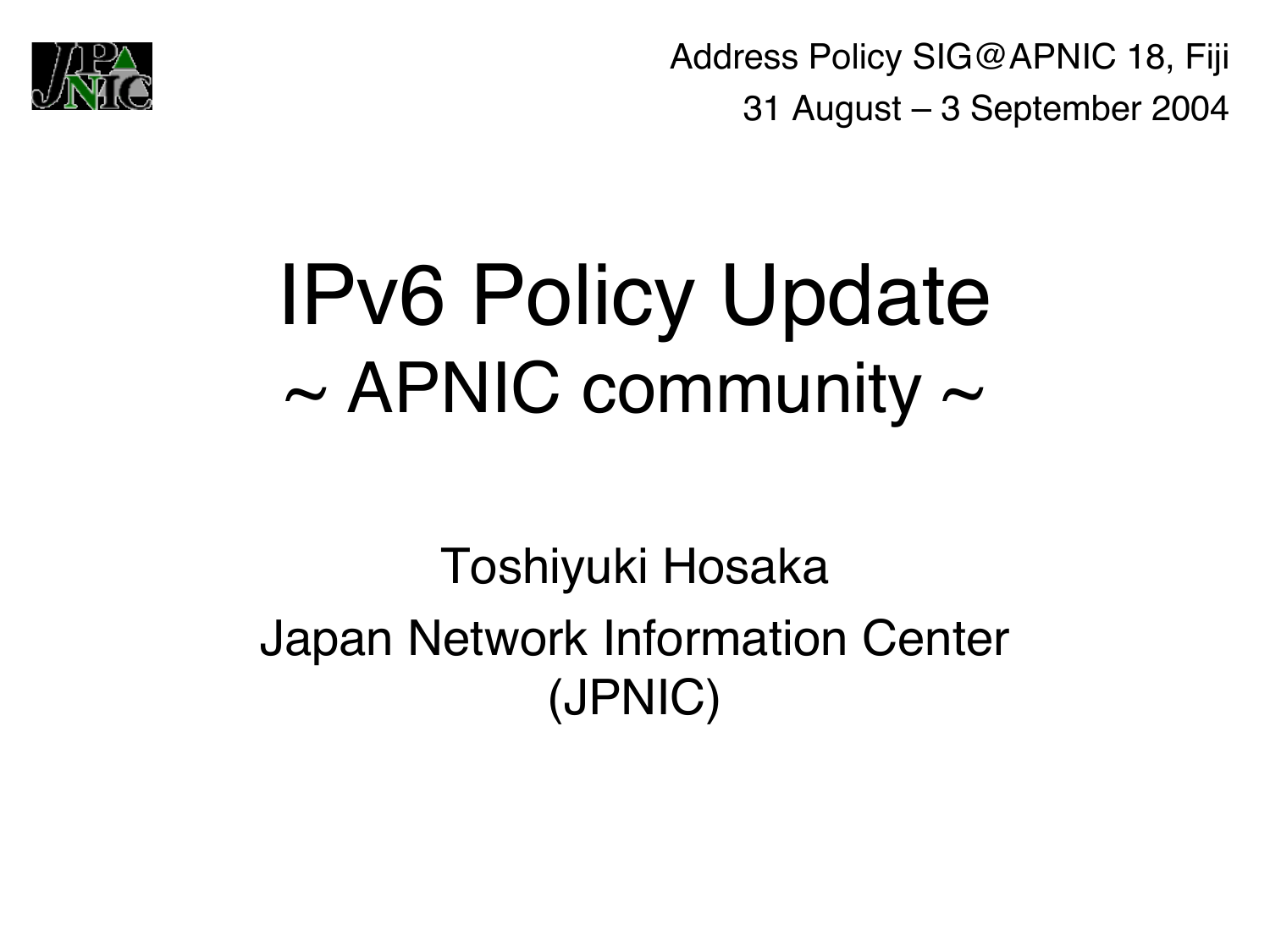

Address Policy SIG@APNIC 18, Fiji 31 August – 3 September 2004

## IPv6 Policy Update  $\sim$  APNIC community  $\sim$

#### Toshiyuki Hosaka Japan Network Information Center (JPNIC)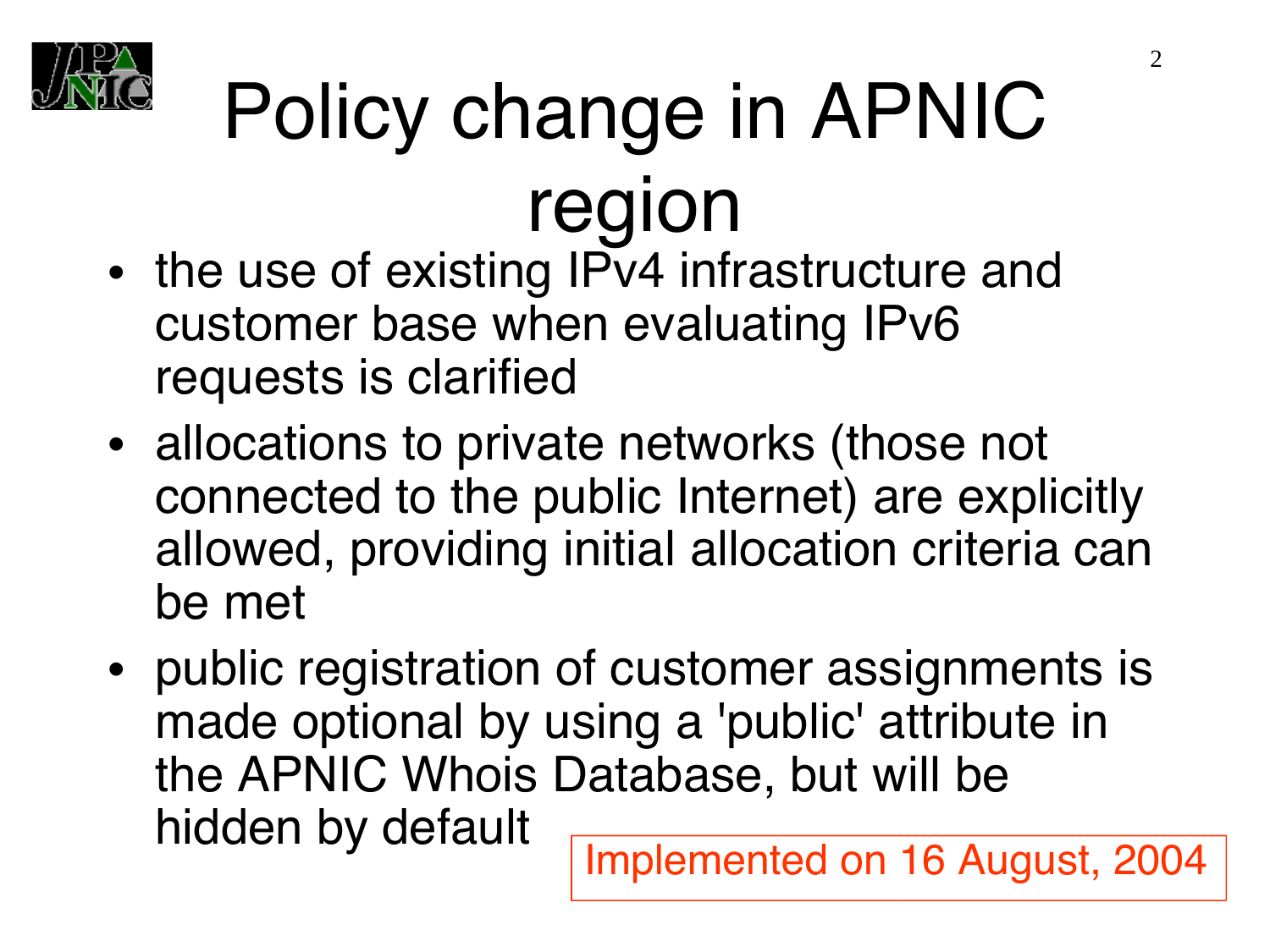

# Policy change in APNIC region

- the use of existing IPv4 infrastructure and customer base when evaluating IPv6 requests is clarified
- allocations to private networks (those not connected to the public Internet) are explicitly allowed, providing initial allocation criteria can be met
- public registration of customer assignments is made optional by using a 'public' attribute in the APNIC Whois Database, but will be hidden by default

Implemented on 16 August, 2004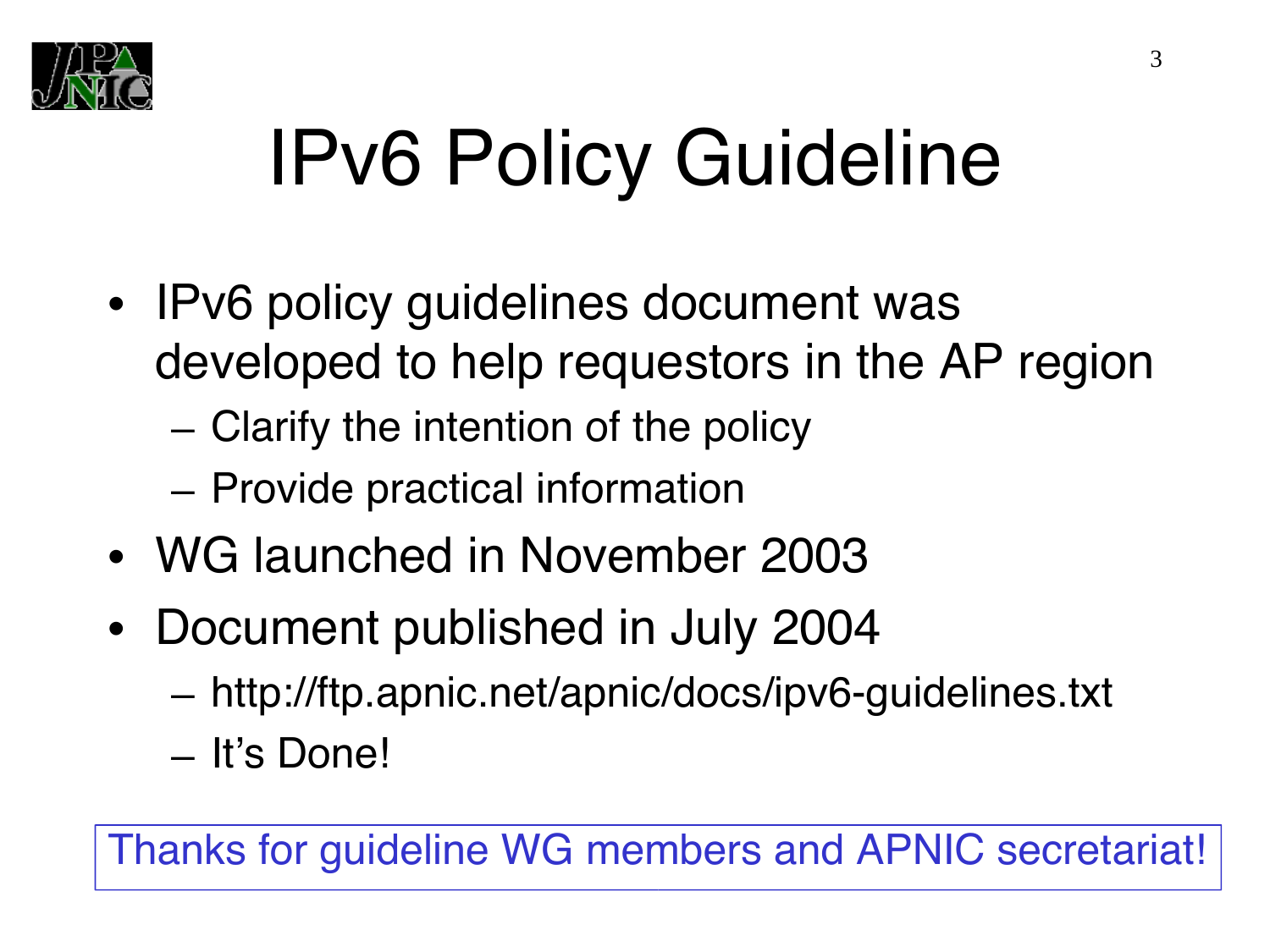

# IPv6 Policy Guideline

- IPv6 policy guidelines document was developed to help requestors in the AP region
	- Clarify the intention of the policy
	- Provide practical information
- WG launched in November 2003
- Document published in July 2004
	- http://ftp.apnic.net/apnic/docs/ipv6-guidelines.txt
	- It's Done!

Thanks for guideline WG members and APNIC secretariat!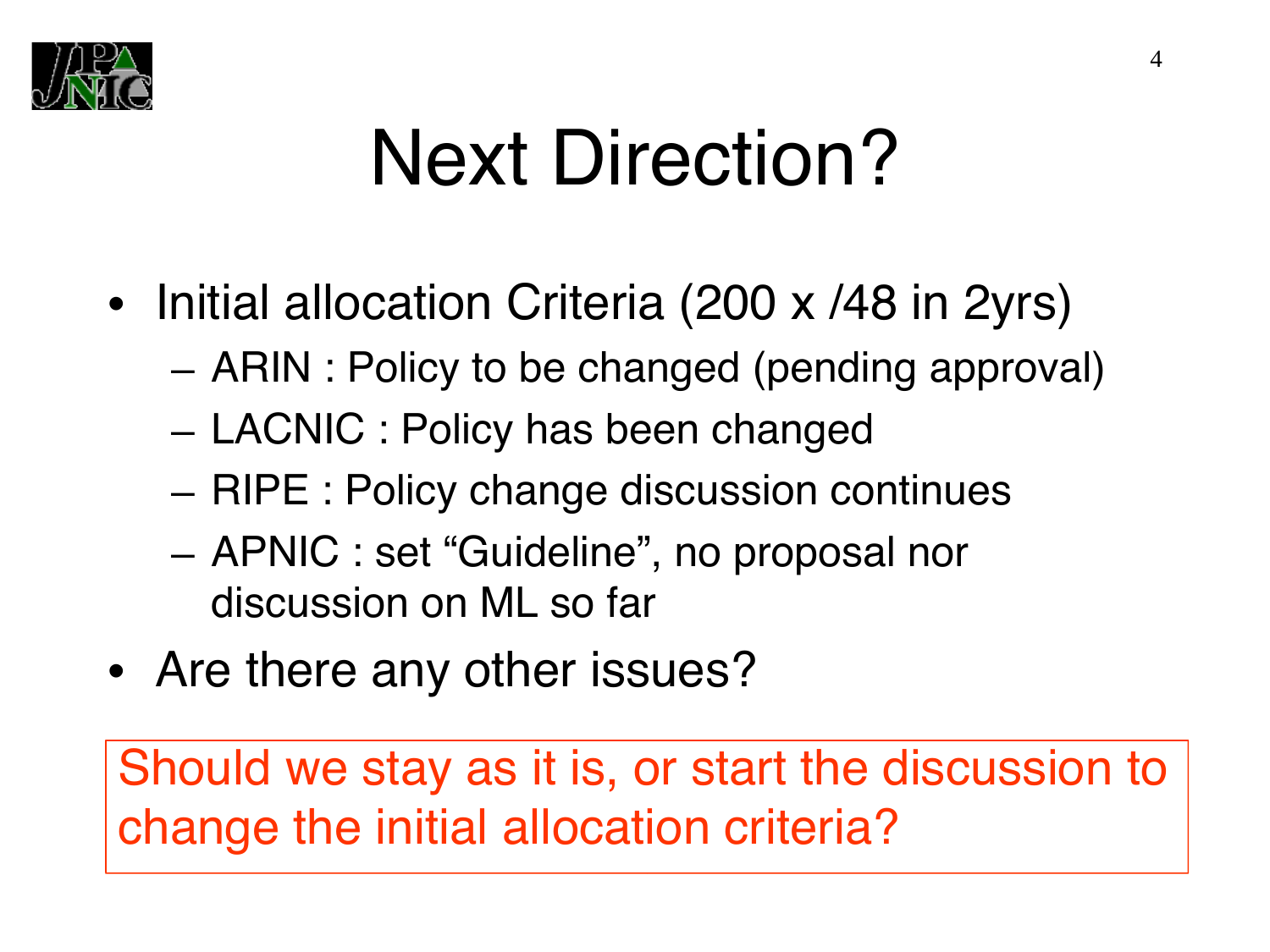

## Next Direction?

- Initial allocation Criteria (200 x /48 in 2yrs)
	- ARIN : Policy to be changed (pending approval)
	- LACNIC : Policy has been changed
	- RIPE : Policy change discussion continues
	- APNIC : set "Guideline", no proposal nor discussion on ML so far
- Are there any other issues?

Should we stay as it is, or start the discussion to change the initial allocation criteria?